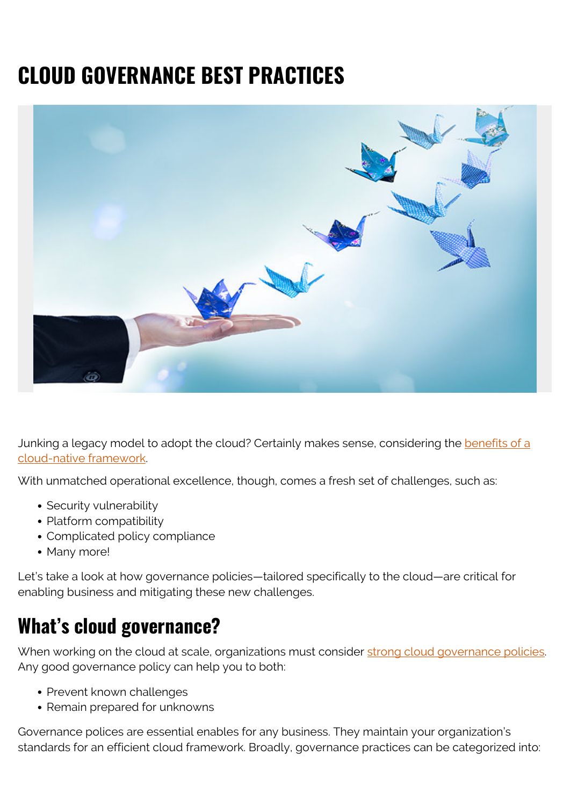# **CLOUD GOVERNANCE BEST PRACTICES**



Junking a legacy model to adopt the cloud? Certainly makes sense, considering the **benefits of a** [cloud-native framework](https://blogs.bmc.com/blogs/advantages-benefits-cloud-computing/).

With unmatched operational excellence, though, comes a fresh set of challenges, such as:

- Security vulnerability
- Platform compatibility
- Complicated policy compliance
- Many more!

Let's take a look at how governance policies—tailored specifically to the cloud—are critical for enabling business and mitigating these new challenges.

### **What's cloud governance?**

When working on the cloud at scale, organizations must consider [strong cloud governance policies.](https://blogs.bmc.com/blogs/hybrid-cloud-governance-compliance/) Any good governance policy can help you to both:

- Prevent known challenges
- Remain prepared for unknowns

Governance polices are essential enables for any business. They maintain your organization's standards for an efficient cloud framework. Broadly, governance practices can be categorized into: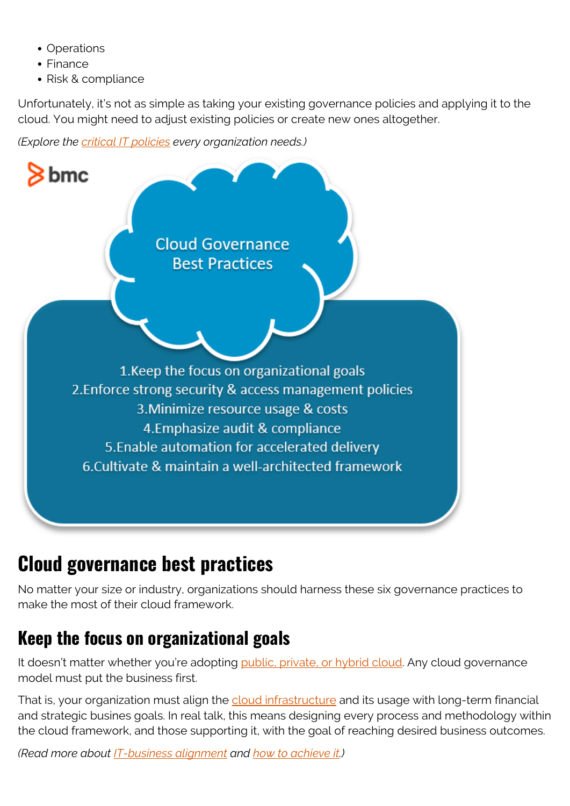- Operations
- Finance
- Risk & compliance

Unfortunately, it's not as simple as taking your existing governance policies and applying it to the cloud. You might need to adjust existing policies or create new ones altogether.

*(Explore the [critical IT policies](https://blogs.bmc.com/blogs/critical-it-tech-policies/) every organization needs.)*



## **Cloud governance best practices**

No matter your size or industry, organizations should harness these six governance practices to make the most of their cloud framework.

## **Keep the focus on organizational goals**

It doesn't matter whether you're adopting [public, private, or hybrid cloud](https://blogs.bmc.com/blogs/public-private-hybrid-cloud/). Any cloud governance model must put the business first.

That is, your organization must align the [cloud infrastructure](https://blogs.bmc.com/blogs/cloud-infrastructure/) and its usage with long-term financial and strategic busines goals. In real talk, this means designing every process and methodology within the cloud framework, and those supporting it, with the goal of reaching desired business outcomes.

*(Read more about [IT-business alignment](https://blogs.bmc.com/blogs/it-business-alignment/) and [how to achieve it.](https://blogs.bmc.com/blogs/3-steps-to-aligning-it-goals-with-business-goals/))*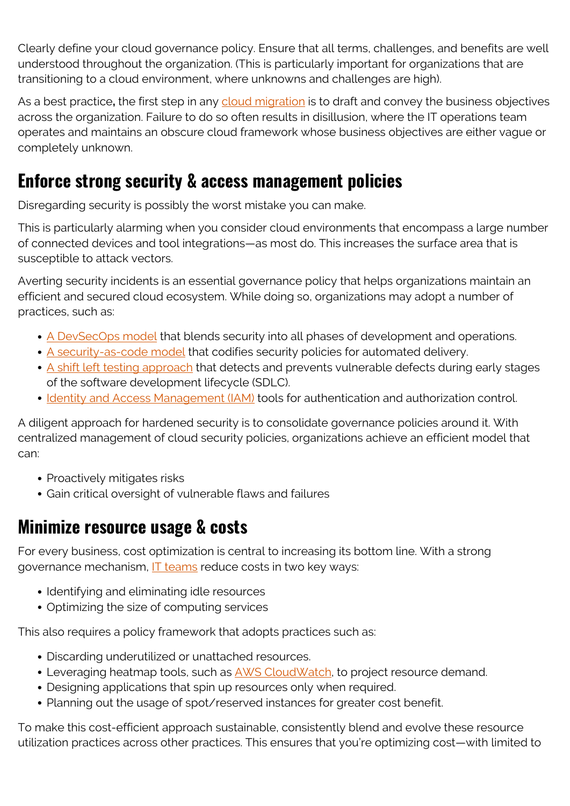Clearly define your cloud governance policy. Ensure that all terms, challenges, and benefits are well understood throughout the organization. (This is particularly important for organizations that are transitioning to a cloud environment, where unknowns and challenges are high).

As a best practice**,** the first step in any [cloud migration](https://blogs.bmc.com/blogs/key-facets-of-a-smart-cloud-migration-strategy/) is to draft and convey the business objectives across the organization. Failure to do so often results in disillusion, where the IT operations team operates and maintains an obscure cloud framework whose business objectives are either vague or completely unknown.

#### **Enforce strong security & access management policies**

Disregarding security is possibly the worst mistake you can make.

This is particularly alarming when you consider cloud environments that encompass a large number of connected devices and tool integrations—as most do. This increases the surface area that is susceptible to attack vectors.

Averting security incidents is an essential governance policy that helps organizations maintain an efficient and secured cloud ecosystem. While doing so, organizations may adopt a number of practices, such as:

- [A DevSecOps model](https://blogs.bmc.com/blogs/devops-devsecops/) that blends security into all phases of development and operations.
- [A security-as-code model](https://blogs.bmc.com/blogs/security-as-code/) that codifies security policies for automated delivery.
- [A shift left testing approach](https://blogs.bmc.com/blogs/what-is-shift-left-shift-left-testing-explained/) that detects and prevents vulnerable defects during early stages of the software development lifecycle (SDLC).
- [Identity and Access Management \(IAM\)](https://blogs.bmc.com/blogs/identity-access-management/) tools for authentication and authorization control.

A diligent approach for hardened security is to consolidate governance policies around it. With centralized management of cloud security policies, organizations achieve an efficient model that can:

- Proactively mitigates risks
- Gain critical oversight of vulnerable flaws and failures

#### **Minimize resource usage & costs**

For every business, cost optimization is central to increasing its bottom line. With a strong governance mechanism, **[IT teams](https://blogs.bmc.com/blogs/it-teams/)** reduce costs in two key ways:

- Identifying and eliminating idle resources
- Optimizing the size of computing services

This also requires a policy framework that adopts practices such as:

- Discarding underutilized or unattached resources.
- Leveraging heatmap tools, such as **AWS CloudWatch**, to project resource demand.
- Designing applications that spin up resources only when required.
- Planning out the usage of spot/reserved instances for greater cost benefit.

To make this cost-efficient approach sustainable, consistently blend and evolve these resource utilization practices across other practices. This ensures that you're optimizing cost—with limited to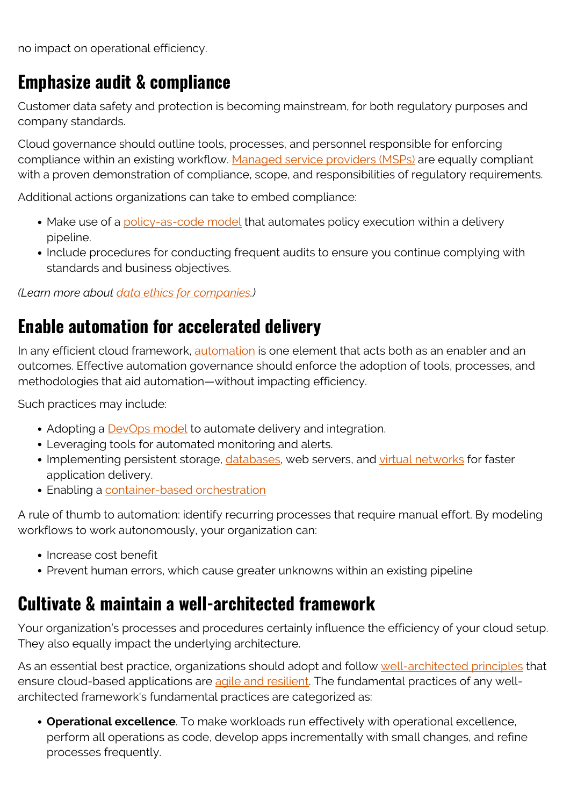no impact on operational efficiency.

#### **Emphasize audit & compliance**

Customer data safety and protection is becoming mainstream, for both regulatory purposes and company standards.

Cloud governance should outline tools, processes, and personnel responsible for enforcing compliance within an existing workflow. [Managed service providers \(MSPs\)](https://blogs.bmc.com/blogs/what-is-a-managed-service-managed-services-explained/) are equally compliant with a proven demonstration of compliance, scope, and responsibilities of regulatory requirements.

Additional actions organizations can take to embed compliance:

- Make use of a [policy-as-code model](https://www.infoq.com/presentations/policy-as-code/) that automates policy execution within a delivery pipeline.
- Include procedures for conducting frequent audits to ensure you continue complying with standards and business objectives.

*(Learn more about [data ethics for companies.](https://blogs.bmc.com/blogs/data-ethics-responsibility/))*

#### **Enable automation for accelerated delivery**

In any efficient cloud framework, [automation](https://blogs.bmc.com/blogs/it-automation/) is one element that acts both as an enabler and an outcomes. Effective automation governance should enforce the adoption of tools, processes, and methodologies that aid automation—without impacting efficiency.

Such practices may include:

- Adopting a **DevOps model** to automate delivery and integration.
- Leveraging tools for automated monitoring and alerts.
- Implementing persistent storage, *databases*, web servers, and [virtual networks](https://blogs.bmc.com/blogs/virtual-network/) for faster application delivery.
- Enabling a [container-based orchestration](https://blogs.bmc.com/blogs/kubernetes-vs-docker-swarm/)

A rule of thumb to automation: identify recurring processes that require manual effort. By modeling workflows to work autonomously, your organization can:

- Increase cost benefit
- Prevent human errors, which cause greater unknowns within an existing pipeline

#### **Cultivate & maintain a well-architected framework**

Your organization's processes and procedures certainly influence the efficiency of your cloud setup. They also equally impact the underlying architecture.

As an essential best practice, organizations should adopt and follow [well-architected principles](https://blogs.bmc.com/blogs/aws-well-architected-framework/) that ensure cloud-based applications are [agile and resilient.](https://blogs.bmc.com/blogs/it-agility/) The fundamental practices of any wellarchitected framework's fundamental practices are categorized as:

**Operational excellence**. To make workloads run effectively with operational excellence, perform all operations as code, develop apps incrementally with small changes, and refine processes frequently.